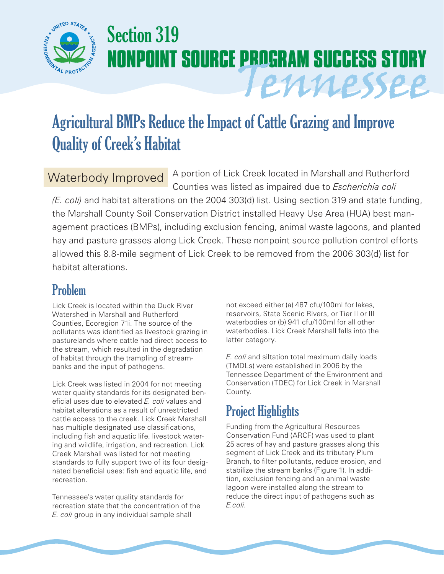

# Section 319 **NONPOINT SOURCE PROGRAM SUCCESS STORY** Tennessee

## Agricultural BMPs Reduce the Impact of Cattle Grazing and Improve Quality of Creek's Habitat

#### Waterbody Improved

A portion of Lick Creek located in Marshall and Rutherford Counties was listed as impaired due to *Escherichia coli* 

*(E. coli)* and habitat alterations on the 2004 303(d) list. Using section 319 and state funding, the Marshall County Soil Conservation District installed Heavy Use Area (HUA) best management practices (BMPs), including exclusion fencing, animal waste lagoons, and planted hay and pasture grasses along Lick Creek. These nonpoint source pollution control efforts allowed this 8.8-mile segment of Lick Creek to be removed from the 2006 303(d) list for habitat alterations.

#### Problem

Lick Creek is located within the Duck River Watershed in Marshall and Rutherford Counties, Ecoregion 71i. The source of the pollutants was identified as livestock grazing in pasturelands where cattle had direct access to the stream, which resulted in the degradation of habitat through the trampling of streambanks and the input of pathogens.

Lick Creek was listed in 2004 for not meeting water quality standards for its designated beneficial uses due to elevated *E. coli* values and habitat alterations as a result of unrestricted cattle access to the creek. Lick Creek Marshall has multiple designated use classifications, including fish and aquatic life, livestock watering and wildlife, irrigation, and recreation. Lick Creek Marshall was listed for not meeting standards to fully support two of its four designated beneficial uses: fish and aquatic life, and recreation.

Tennessee's water quality standards for recreation state that the concentration of the *E. coli* group in any individual sample shall

not exceed either (a) 487 cfu/100ml for lakes, reservoirs, State Scenic Rivers, or Tier II or III waterbodies or (b) 941 cfu/100ml for all other waterbodies. Lick Creek Marshall falls into the latter category.

*E. coli* and siltation total maximum daily loads (TMDLs) were established in 2006 by the Tennessee Department of the Environment and Conservation (TDEC) for Lick Creek in Marshall County.

### Project Highlights

Funding from the Agricultural Resources Conservation Fund (ARCF) was used to plant 25 acres of hay and pasture grasses along this segment of Lick Creek and its tributary Plum Branch, to filter pollutants, reduce erosion, and stabilize the stream banks (Figure 1). In addition, exclusion fencing and an animal waste lagoon were installed along the stream to reduce the direct input of pathogens such as *E.coli*.